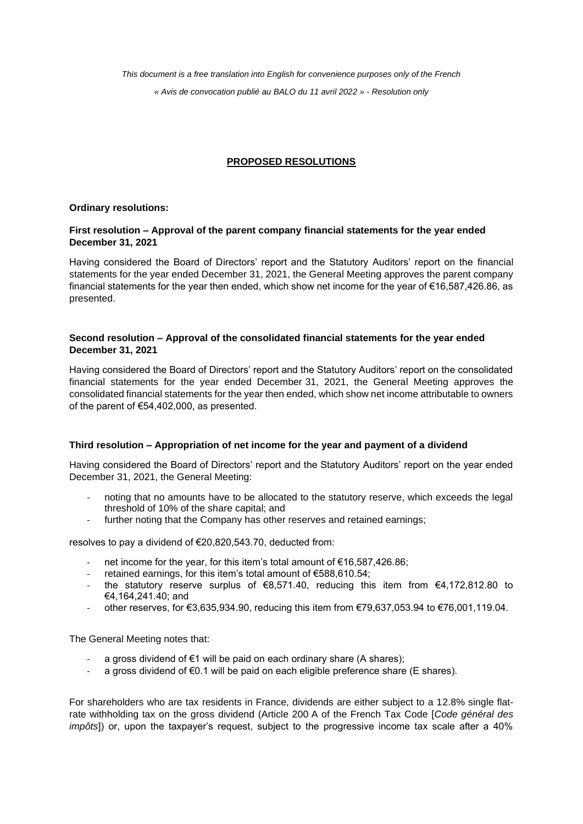*This document is a free translation into English for convenience purposes only of the French « Avis de convocation publié au BALO du 11 avril 2022 » - Resolution only*

# **PROPOSED RESOLUTIONS**

## **Ordinary resolutions:**

## **First resolution – Approval of the parent company financial statements for the year ended December 31, 2021**

Having considered the Board of Directors' report and the Statutory Auditors' report on the financial statements for the year ended December 31, 2021, the General Meeting approves the parent company financial statements for the year then ended, which show net income for the year of €16,587,426.86, as presented.

## **Second resolution – Approval of the consolidated financial statements for the year ended December 31, 2021**

Having considered the Board of Directors' report and the Statutory Auditors' report on the consolidated financial statements for the year ended December 31, 2021, the General Meeting approves the consolidated financial statements for the year then ended, which show net income attributable to owners of the parent of €54,402,000, as presented.

## **Third resolution – Appropriation of net income for the year and payment of a dividend**

Having considered the Board of Directors' report and the Statutory Auditors' report on the year ended December 31, 2021, the General Meeting:

- noting that no amounts have to be allocated to the statutory reserve, which exceeds the legal threshold of 10% of the share capital; and
- further noting that the Company has other reserves and retained earnings;

resolves to pay a dividend of €20,820,543.70, deducted from:

- net income for the year, for this item's total amount of €16,587,426.86;
- retained earnings, for this item's total amount of €588,610.54;
- the statutory reserve surplus of  $\epsilon$ 8,571.40, reducing this item from  $\epsilon$ 4,172,812.80 to €4,164,241.40; and
- other reserves, for €3,635,934.90, reducing this item from  $€79,637,053.94$  to  $€76,001,119.04$ .

The General Meeting notes that:

- a gross dividend of  $\epsilon$ 1 will be paid on each ordinary share (A shares);
- a gross dividend of  $\epsilon$ 0.1 will be paid on each eligible preference share (E shares).

For shareholders who are tax residents in France, dividends are either subject to a 12.8% single flatrate withholding tax on the gross dividend (Article 200 A of the French Tax Code [*Code général des impôts*]) or, upon the taxpayer's request, subject to the progressive income tax scale after a 40%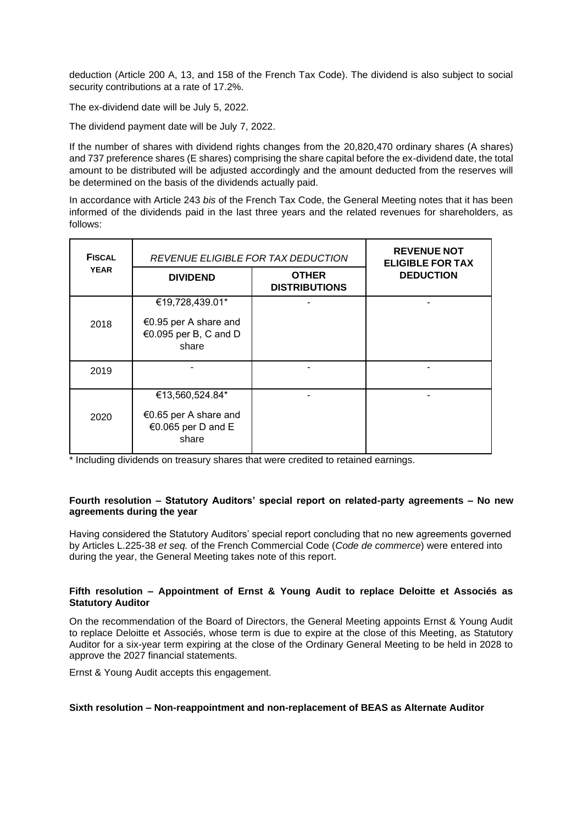deduction (Article 200 A, 13, and 158 of the French Tax Code). The dividend is also subject to social security contributions at a rate of 17.2%.

The ex-dividend date will be July 5, 2022.

The dividend payment date will be July 7, 2022.

If the number of shares with dividend rights changes from the 20,820,470 ordinary shares (A shares) and 737 preference shares (E shares) comprising the share capital before the ex-dividend date, the total amount to be distributed will be adjusted accordingly and the amount deducted from the reserves will be determined on the basis of the dividends actually paid.

In accordance with Article 243 *bis* of the French Tax Code, the General Meeting notes that it has been informed of the dividends paid in the last three years and the related revenues for shareholders, as follows:

| <b>FISCAL</b><br><b>YEAR</b> | REVENUE ELIGIBLE FOR TAX DEDUCTION                                         |                                      | <b>REVENUE NOT</b><br><b>ELIGIBLE FOR TAX</b> |
|------------------------------|----------------------------------------------------------------------------|--------------------------------------|-----------------------------------------------|
|                              | <b>DIVIDEND</b>                                                            | <b>OTHER</b><br><b>DISTRIBUTIONS</b> | <b>DEDUCTION</b>                              |
| 2018                         | €19,728,439.01*<br>€0.95 per A share and<br>€0.095 per B, C and D<br>share |                                      |                                               |
| 2019                         |                                                                            |                                      |                                               |
| 2020                         | €13,560,524.84*<br>€0.65 per A share and<br>€0.065 per D and E<br>share    |                                      |                                               |

\* Including dividends on treasury shares that were credited to retained earnings.

#### **Fourth resolution – Statutory Auditors' special report on related-party agreements – No new agreements during the year**

Having considered the Statutory Auditors' special report concluding that no new agreements governed by Articles L.225-38 *et seq.* of the French Commercial Code (*Code de commerce*) were entered into during the year, the General Meeting takes note of this report.

### **Fifth resolution – Appointment of Ernst & Young Audit to replace Deloitte et Associés as Statutory Auditor**

On the recommendation of the Board of Directors, the General Meeting appoints Ernst & Young Audit to replace Deloitte et Associés, whose term is due to expire at the close of this Meeting, as Statutory Auditor for a six-year term expiring at the close of the Ordinary General Meeting to be held in 2028 to approve the 2027 financial statements.

Ernst & Young Audit accepts this engagement.

### **Sixth resolution – Non-reappointment and non-replacement of BEAS as Alternate Auditor**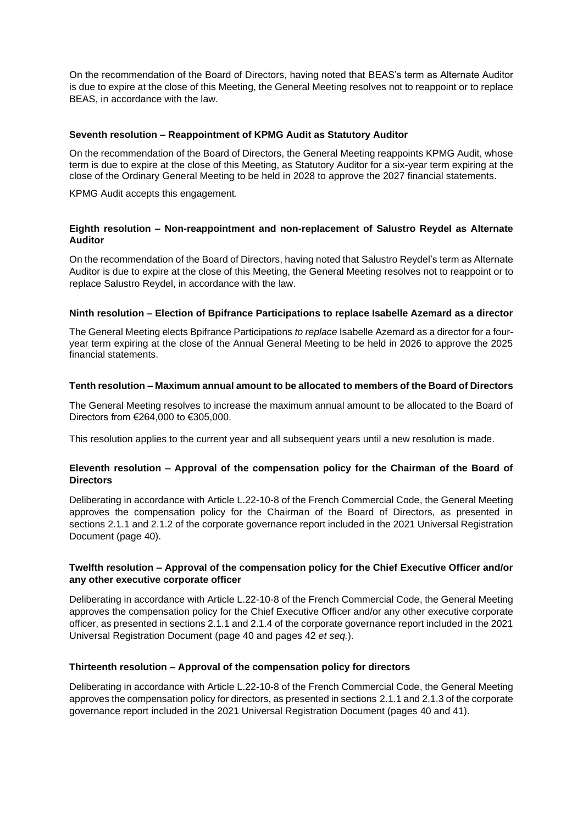On the recommendation of the Board of Directors, having noted that BEAS's term as Alternate Auditor is due to expire at the close of this Meeting, the General Meeting resolves not to reappoint or to replace BEAS, in accordance with the law.

### **Seventh resolution – Reappointment of KPMG Audit as Statutory Auditor**

On the recommendation of the Board of Directors, the General Meeting reappoints KPMG Audit, whose term is due to expire at the close of this Meeting, as Statutory Auditor for a six-year term expiring at the close of the Ordinary General Meeting to be held in 2028 to approve the 2027 financial statements.

KPMG Audit accepts this engagement.

## **Eighth resolution – Non-reappointment and non-replacement of Salustro Reydel as Alternate Auditor**

On the recommendation of the Board of Directors, having noted that Salustro Reydel's term as Alternate Auditor is due to expire at the close of this Meeting, the General Meeting resolves not to reappoint or to replace Salustro Reydel, in accordance with the law.

### **Ninth resolution – Election of Bpifrance Participations to replace Isabelle Azemard as a director**

The General Meeting elects Bpifrance Participations *to replace* Isabelle Azemard as a director for a fouryear term expiring at the close of the Annual General Meeting to be held in 2026 to approve the 2025 financial statements.

### **Tenth resolution – Maximum annual amount to be allocated to members of the Board of Directors**

The General Meeting resolves to increase the maximum annual amount to be allocated to the Board of Directors from €264,000 to €305,000.

This resolution applies to the current year and all subsequent years until a new resolution is made.

### **Eleventh resolution – Approval of the compensation policy for the Chairman of the Board of Directors**

Deliberating in accordance with Article L.22-10-8 of the French Commercial Code, the General Meeting approves the compensation policy for the Chairman of the Board of Directors, as presented in sections 2.1.1 and 2.1.2 of the corporate governance report included in the 2021 Universal Registration Document (page 40).

## **Twelfth resolution – Approval of the compensation policy for the Chief Executive Officer and/or any other executive corporate officer**

Deliberating in accordance with Article L.22-10-8 of the French Commercial Code, the General Meeting approves the compensation policy for the Chief Executive Officer and/or any other executive corporate officer, as presented in sections 2.1.1 and 2.1.4 of the corporate governance report included in the 2021 Universal Registration Document (page 40 and pages 42 *et seq.*).

#### **Thirteenth resolution – Approval of the compensation policy for directors**

Deliberating in accordance with Article L.22-10-8 of the French Commercial Code, the General Meeting approves the compensation policy for directors, as presented in sections 2.1.1 and 2.1.3 of the corporate governance report included in the 2021 Universal Registration Document (pages 40 and 41).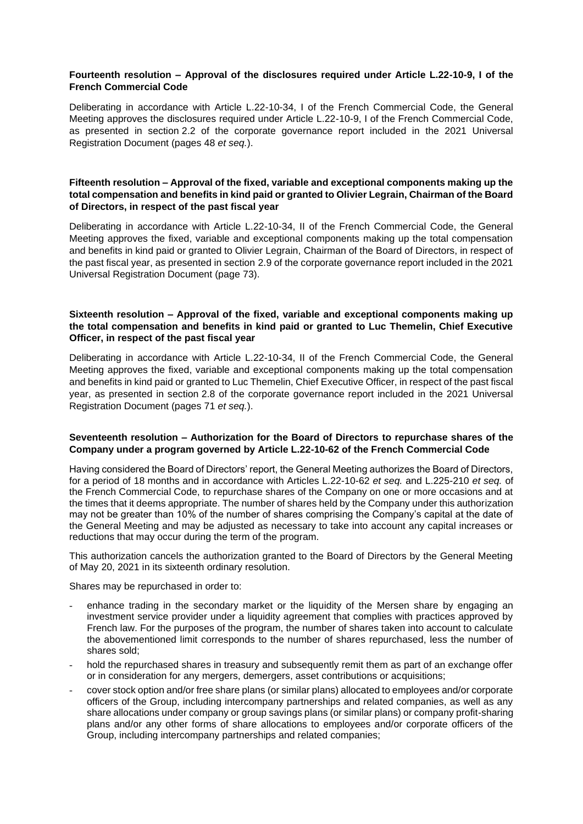## **Fourteenth resolution – Approval of the disclosures required under Article L.22-10-9, I of the French Commercial Code**

Deliberating in accordance with Article L.22-10-34, I of the French Commercial Code, the General Meeting approves the disclosures required under Article L.22-10-9, I of the French Commercial Code, as presented in section 2.2 of the corporate governance report included in the 2021 Universal Registration Document (pages 48 *et seq.*).

## **Fifteenth resolution – Approval of the fixed, variable and exceptional components making up the total compensation and benefits in kind paid or granted to Olivier Legrain, Chairman of the Board of Directors, in respect of the past fiscal year**

Deliberating in accordance with Article L.22-10-34, II of the French Commercial Code, the General Meeting approves the fixed, variable and exceptional components making up the total compensation and benefits in kind paid or granted to Olivier Legrain, Chairman of the Board of Directors, in respect of the past fiscal year, as presented in section 2.9 of the corporate governance report included in the 2021 Universal Registration Document (page 73).

## **Sixteenth resolution – Approval of the fixed, variable and exceptional components making up the total compensation and benefits in kind paid or granted to Luc Themelin, Chief Executive Officer, in respect of the past fiscal year**

Deliberating in accordance with Article L.22-10-34, II of the French Commercial Code, the General Meeting approves the fixed, variable and exceptional components making up the total compensation and benefits in kind paid or granted to Luc Themelin, Chief Executive Officer, in respect of the past fiscal year, as presented in section 2.8 of the corporate governance report included in the 2021 Universal Registration Document (pages 71 *et seq.*).

### **Seventeenth resolution – Authorization for the Board of Directors to repurchase shares of the Company under a program governed by Article L.22-10-62 of the French Commercial Code**

Having considered the Board of Directors' report, the General Meeting authorizes the Board of Directors, for a period of 18 months and in accordance with Articles L.22-10-62 *et seq.* and L.225-210 *et seq.* of the French Commercial Code, to repurchase shares of the Company on one or more occasions and at the times that it deems appropriate. The number of shares held by the Company under this authorization may not be greater than 10% of the number of shares comprising the Company's capital at the date of the General Meeting and may be adjusted as necessary to take into account any capital increases or reductions that may occur during the term of the program.

This authorization cancels the authorization granted to the Board of Directors by the General Meeting of May 20, 2021 in its sixteenth ordinary resolution.

Shares may be repurchased in order to:

- enhance trading in the secondary market or the liquidity of the Mersen share by engaging an investment service provider under a liquidity agreement that complies with practices approved by French law. For the purposes of the program, the number of shares taken into account to calculate the abovementioned limit corresponds to the number of shares repurchased, less the number of shares sold;
- hold the repurchased shares in treasury and subsequently remit them as part of an exchange offer or in consideration for any mergers, demergers, asset contributions or acquisitions;
- cover stock option and/or free share plans (or similar plans) allocated to employees and/or corporate officers of the Group, including intercompany partnerships and related companies, as well as any share allocations under company or group savings plans (or similar plans) or company profit-sharing plans and/or any other forms of share allocations to employees and/or corporate officers of the Group, including intercompany partnerships and related companies;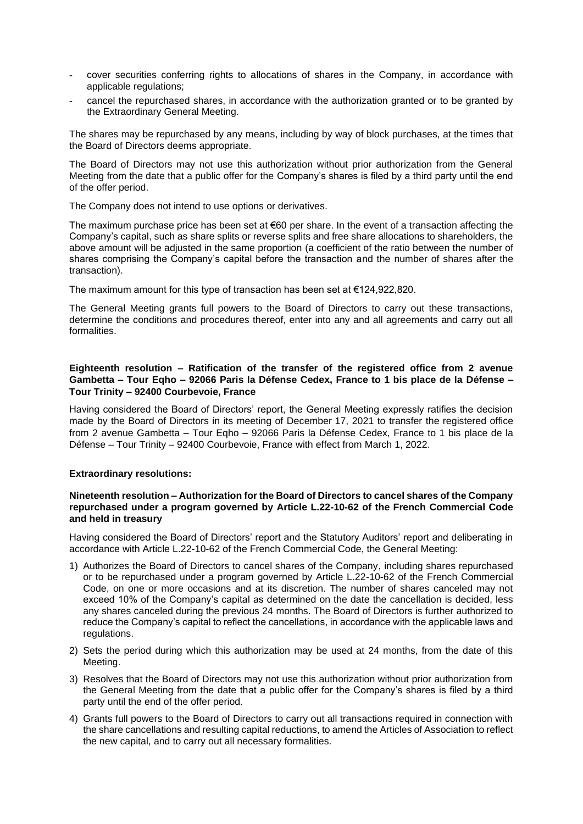- cover securities conferring rights to allocations of shares in the Company, in accordance with applicable regulations;
- cancel the repurchased shares, in accordance with the authorization granted or to be granted by the Extraordinary General Meeting.

The shares may be repurchased by any means, including by way of block purchases, at the times that the Board of Directors deems appropriate.

The Board of Directors may not use this authorization without prior authorization from the General Meeting from the date that a public offer for the Company's shares is filed by a third party until the end of the offer period.

The Company does not intend to use options or derivatives.

The maximum purchase price has been set at €60 per share. In the event of a transaction affecting the Company's capital, such as share splits or reverse splits and free share allocations to shareholders, the above amount will be adjusted in the same proportion (a coefficient of the ratio between the number of shares comprising the Company's capital before the transaction and the number of shares after the transaction).

The maximum amount for this type of transaction has been set at €124,922,820.

The General Meeting grants full powers to the Board of Directors to carry out these transactions, determine the conditions and procedures thereof, enter into any and all agreements and carry out all formalities.

## **Eighteenth resolution – Ratification of the transfer of the registered office from 2 avenue Gambetta – Tour Eqho – 92066 Paris la Défense Cedex, France to 1 bis place de la Défense – Tour Trinity – 92400 Courbevoie, France**

Having considered the Board of Directors' report, the General Meeting expressly ratifies the decision made by the Board of Directors in its meeting of December 17, 2021 to transfer the registered office from 2 avenue Gambetta – Tour Eqho – 92066 Paris la Défense Cedex, France to 1 bis place de la Défense – Tour Trinity – 92400 Courbevoie, France with effect from March 1, 2022.

#### **Extraordinary resolutions:**

#### **Nineteenth resolution – Authorization for the Board of Directors to cancel shares of the Company repurchased under a program governed by Article L.22-10-62 of the French Commercial Code and held in treasury**

Having considered the Board of Directors' report and the Statutory Auditors' report and deliberating in accordance with Article L.22-10-62 of the French Commercial Code, the General Meeting:

- 1) Authorizes the Board of Directors to cancel shares of the Company, including shares repurchased or to be repurchased under a program governed by Article L.22-10-62 of the French Commercial Code, on one or more occasions and at its discretion. The number of shares canceled may not exceed 10% of the Company's capital as determined on the date the cancellation is decided, less any shares canceled during the previous 24 months. The Board of Directors is further authorized to reduce the Company's capital to reflect the cancellations, in accordance with the applicable laws and regulations.
- 2) Sets the period during which this authorization may be used at 24 months, from the date of this Meeting.
- 3) Resolves that the Board of Directors may not use this authorization without prior authorization from the General Meeting from the date that a public offer for the Company's shares is filed by a third party until the end of the offer period.
- 4) Grants full powers to the Board of Directors to carry out all transactions required in connection with the share cancellations and resulting capital reductions, to amend the Articles of Association to reflect the new capital, and to carry out all necessary formalities.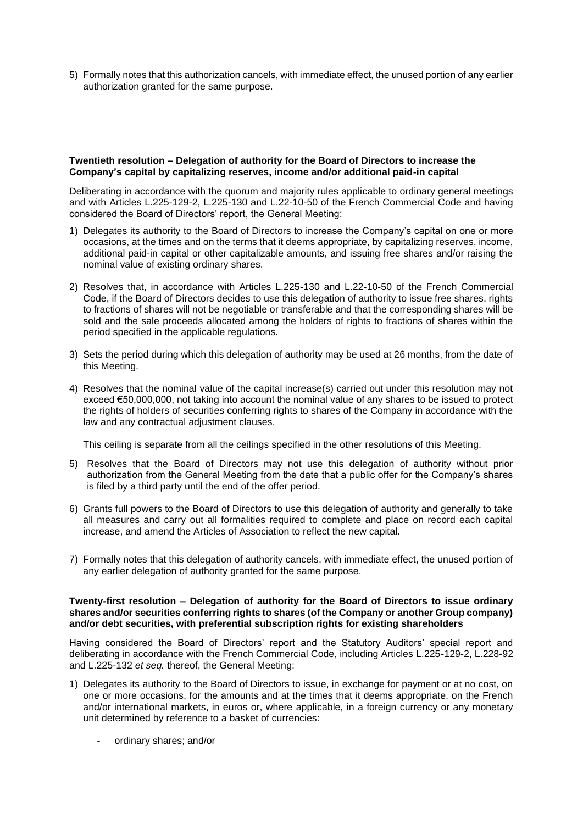5) Formally notes that this authorization cancels, with immediate effect, the unused portion of any earlier authorization granted for the same purpose.

#### **Twentieth resolution – Delegation of authority for the Board of Directors to increase the Company's capital by capitalizing reserves, income and/or additional paid-in capital**

Deliberating in accordance with the quorum and majority rules applicable to ordinary general meetings and with Articles L.225-129-2, L.225-130 and L.22-10-50 of the French Commercial Code and having considered the Board of Directors' report, the General Meeting:

- 1) Delegates its authority to the Board of Directors to increase the Company's capital on one or more occasions, at the times and on the terms that it deems appropriate, by capitalizing reserves, income, additional paid-in capital or other capitalizable amounts, and issuing free shares and/or raising the nominal value of existing ordinary shares.
- 2) Resolves that, in accordance with Articles L.225-130 and L.22-10-50 of the French Commercial Code, if the Board of Directors decides to use this delegation of authority to issue free shares, rights to fractions of shares will not be negotiable or transferable and that the corresponding shares will be sold and the sale proceeds allocated among the holders of rights to fractions of shares within the period specified in the applicable regulations.
- 3) Sets the period during which this delegation of authority may be used at 26 months, from the date of this Meeting.
- 4) Resolves that the nominal value of the capital increase(s) carried out under this resolution may not exceed €50,000,000, not taking into account the nominal value of any shares to be issued to protect the rights of holders of securities conferring rights to shares of the Company in accordance with the law and any contractual adjustment clauses.

This ceiling is separate from all the ceilings specified in the other resolutions of this Meeting.

- 5) Resolves that the Board of Directors may not use this delegation of authority without prior authorization from the General Meeting from the date that a public offer for the Company's shares is filed by a third party until the end of the offer period.
- 6) Grants full powers to the Board of Directors to use this delegation of authority and generally to take all measures and carry out all formalities required to complete and place on record each capital increase, and amend the Articles of Association to reflect the new capital.
- 7) Formally notes that this delegation of authority cancels, with immediate effect, the unused portion of any earlier delegation of authority granted for the same purpose.

#### **Twenty-first resolution – Delegation of authority for the Board of Directors to issue ordinary shares and/or securities conferring rights to shares (of the Company or another Group company) and/or debt securities, with preferential subscription rights for existing shareholders**

Having considered the Board of Directors' report and the Statutory Auditors' special report and deliberating in accordance with the French Commercial Code, including Articles L.225-129-2, L.228-92 and L.225-132 *et seq.* thereof, the General Meeting:

- 1) Delegates its authority to the Board of Directors to issue, in exchange for payment or at no cost, on one or more occasions, for the amounts and at the times that it deems appropriate, on the French and/or international markets, in euros or, where applicable, in a foreign currency or any monetary unit determined by reference to a basket of currencies:
	- ordinary shares; and/or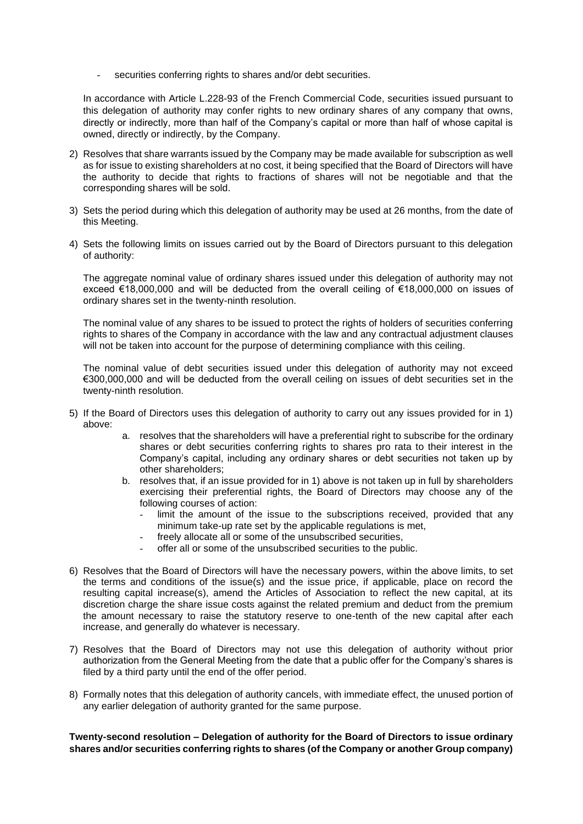securities conferring rights to shares and/or debt securities.

In accordance with Article L.228-93 of the French Commercial Code, securities issued pursuant to this delegation of authority may confer rights to new ordinary shares of any company that owns, directly or indirectly, more than half of the Company's capital or more than half of whose capital is owned, directly or indirectly, by the Company.

- 2) Resolves that share warrants issued by the Company may be made available for subscription as well as for issue to existing shareholders at no cost, it being specified that the Board of Directors will have the authority to decide that rights to fractions of shares will not be negotiable and that the corresponding shares will be sold.
- 3) Sets the period during which this delegation of authority may be used at 26 months, from the date of this Meeting.
- 4) Sets the following limits on issues carried out by the Board of Directors pursuant to this delegation of authority:

The aggregate nominal value of ordinary shares issued under this delegation of authority may not exceed €18,000,000 and will be deducted from the overall ceiling of €18,000,000 on issues of ordinary shares set in the twenty-ninth resolution.

The nominal value of any shares to be issued to protect the rights of holders of securities conferring rights to shares of the Company in accordance with the law and any contractual adjustment clauses will not be taken into account for the purpose of determining compliance with this ceiling.

The nominal value of debt securities issued under this delegation of authority may not exceed €300,000,000 and will be deducted from the overall ceiling on issues of debt securities set in the twenty-ninth resolution.

- 5) If the Board of Directors uses this delegation of authority to carry out any issues provided for in 1) above:
	- a. resolves that the shareholders will have a preferential right to subscribe for the ordinary shares or debt securities conferring rights to shares pro rata to their interest in the Company's capital, including any ordinary shares or debt securities not taken up by other shareholders;
	- b. resolves that, if an issue provided for in 1) above is not taken up in full by shareholders exercising their preferential rights, the Board of Directors may choose any of the following courses of action:
		- limit the amount of the issue to the subscriptions received, provided that any minimum take-up rate set by the applicable regulations is met,
		- freely allocate all or some of the unsubscribed securities,
		- offer all or some of the unsubscribed securities to the public.
- 6) Resolves that the Board of Directors will have the necessary powers, within the above limits, to set the terms and conditions of the issue(s) and the issue price, if applicable, place on record the resulting capital increase(s), amend the Articles of Association to reflect the new capital, at its discretion charge the share issue costs against the related premium and deduct from the premium the amount necessary to raise the statutory reserve to one-tenth of the new capital after each increase, and generally do whatever is necessary.
- 7) Resolves that the Board of Directors may not use this delegation of authority without prior authorization from the General Meeting from the date that a public offer for the Company's shares is filed by a third party until the end of the offer period.
- 8) Formally notes that this delegation of authority cancels, with immediate effect, the unused portion of any earlier delegation of authority granted for the same purpose.

**Twenty-second resolution – Delegation of authority for the Board of Directors to issue ordinary shares and/or securities conferring rights to shares (of the Company or another Group company)**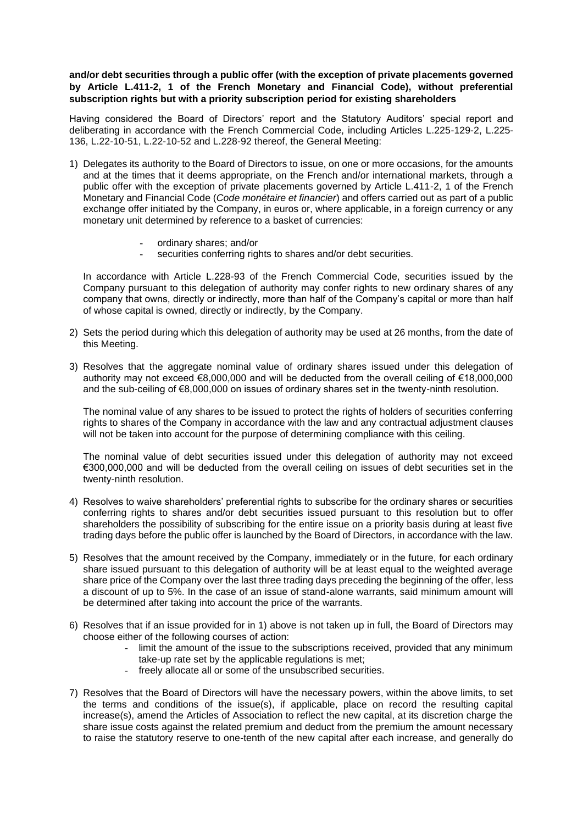## **and/or debt securities through a public offer (with the exception of private placements governed by Article L.411-2, 1 of the French Monetary and Financial Code), without preferential subscription rights but with a priority subscription period for existing shareholders**

Having considered the Board of Directors' report and the Statutory Auditors' special report and deliberating in accordance with the French Commercial Code, including Articles L.225-129-2, L.225- 136, L.22-10-51, L.22-10-52 and L.228-92 thereof, the General Meeting:

- 1) Delegates its authority to the Board of Directors to issue, on one or more occasions, for the amounts and at the times that it deems appropriate, on the French and/or international markets, through a public offer with the exception of private placements governed by Article L.411-2, 1 of the French Monetary and Financial Code (*Code monétaire et financier*) and offers carried out as part of a public exchange offer initiated by the Company, in euros or, where applicable, in a foreign currency or any monetary unit determined by reference to a basket of currencies:
	- ordinary shares; and/or
	- securities conferring rights to shares and/or debt securities.

In accordance with Article L.228-93 of the French Commercial Code, securities issued by the Company pursuant to this delegation of authority may confer rights to new ordinary shares of any company that owns, directly or indirectly, more than half of the Company's capital or more than half of whose capital is owned, directly or indirectly, by the Company.

- 2) Sets the period during which this delegation of authority may be used at 26 months, from the date of this Meeting.
- 3) Resolves that the aggregate nominal value of ordinary shares issued under this delegation of authority may not exceed €8,000,000 and will be deducted from the overall ceiling of €18,000,000 and the sub-ceiling of €8,000,000 on issues of ordinary shares set in the twenty-ninth resolution.

The nominal value of any shares to be issued to protect the rights of holders of securities conferring rights to shares of the Company in accordance with the law and any contractual adjustment clauses will not be taken into account for the purpose of determining compliance with this ceiling.

The nominal value of debt securities issued under this delegation of authority may not exceed €300,000,000 and will be deducted from the overall ceiling on issues of debt securities set in the twenty-ninth resolution.

- 4) Resolves to waive shareholders' preferential rights to subscribe for the ordinary shares or securities conferring rights to shares and/or debt securities issued pursuant to this resolution but to offer shareholders the possibility of subscribing for the entire issue on a priority basis during at least five trading days before the public offer is launched by the Board of Directors, in accordance with the law.
- 5) Resolves that the amount received by the Company, immediately or in the future, for each ordinary share issued pursuant to this delegation of authority will be at least equal to the weighted average share price of the Company over the last three trading days preceding the beginning of the offer, less a discount of up to 5%. In the case of an issue of stand-alone warrants, said minimum amount will be determined after taking into account the price of the warrants.
- 6) Resolves that if an issue provided for in 1) above is not taken up in full, the Board of Directors may choose either of the following courses of action:
	- limit the amount of the issue to the subscriptions received, provided that any minimum take-up rate set by the applicable regulations is met;
	- freely allocate all or some of the unsubscribed securities.
- 7) Resolves that the Board of Directors will have the necessary powers, within the above limits, to set the terms and conditions of the issue(s), if applicable, place on record the resulting capital increase(s), amend the Articles of Association to reflect the new capital, at its discretion charge the share issue costs against the related premium and deduct from the premium the amount necessary to raise the statutory reserve to one-tenth of the new capital after each increase, and generally do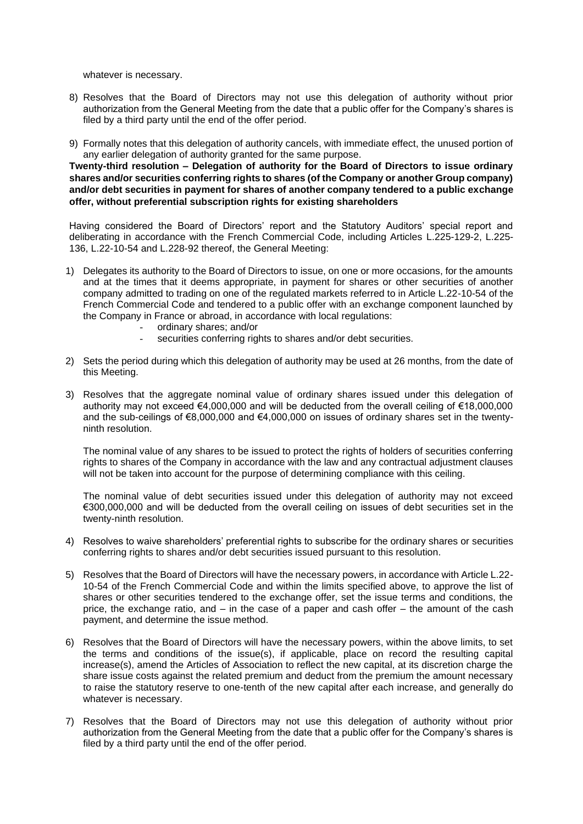whatever is necessary.

- 8) Resolves that the Board of Directors may not use this delegation of authority without prior authorization from the General Meeting from the date that a public offer for the Company's shares is filed by a third party until the end of the offer period.
- 9) Formally notes that this delegation of authority cancels, with immediate effect, the unused portion of any earlier delegation of authority granted for the same purpose.

**Twenty-third resolution – Delegation of authority for the Board of Directors to issue ordinary shares and/or securities conferring rights to shares (of the Company or another Group company) and/or debt securities in payment for shares of another company tendered to a public exchange offer, without preferential subscription rights for existing shareholders**

Having considered the Board of Directors' report and the Statutory Auditors' special report and deliberating in accordance with the French Commercial Code, including Articles L.225-129-2, L.225- 136, L.22-10-54 and L.228-92 thereof, the General Meeting:

- 1) Delegates its authority to the Board of Directors to issue, on one or more occasions, for the amounts and at the times that it deems appropriate, in payment for shares or other securities of another company admitted to trading on one of the regulated markets referred to in Article L.22-10-54 of the French Commercial Code and tendered to a public offer with an exchange component launched by the Company in France or abroad, in accordance with local regulations:
	- ordinary shares; and/or
	- securities conferring rights to shares and/or debt securities.
- 2) Sets the period during which this delegation of authority may be used at 26 months, from the date of this Meeting.
- 3) Resolves that the aggregate nominal value of ordinary shares issued under this delegation of authority may not exceed €4,000,000 and will be deducted from the overall ceiling of €18,000,000 and the sub-ceilings of €8,000,000 and €4,000,000 on issues of ordinary shares set in the twentyninth resolution.

The nominal value of any shares to be issued to protect the rights of holders of securities conferring rights to shares of the Company in accordance with the law and any contractual adjustment clauses will not be taken into account for the purpose of determining compliance with this ceiling.

The nominal value of debt securities issued under this delegation of authority may not exceed €300,000,000 and will be deducted from the overall ceiling on issues of debt securities set in the twenty-ninth resolution.

- 4) Resolves to waive shareholders' preferential rights to subscribe for the ordinary shares or securities conferring rights to shares and/or debt securities issued pursuant to this resolution.
- 5) Resolves that the Board of Directors will have the necessary powers, in accordance with Article L.22- 10-54 of the French Commercial Code and within the limits specified above, to approve the list of shares or other securities tendered to the exchange offer, set the issue terms and conditions, the price, the exchange ratio, and – in the case of a paper and cash offer – the amount of the cash payment, and determine the issue method.
- 6) Resolves that the Board of Directors will have the necessary powers, within the above limits, to set the terms and conditions of the issue(s), if applicable, place on record the resulting capital increase(s), amend the Articles of Association to reflect the new capital, at its discretion charge the share issue costs against the related premium and deduct from the premium the amount necessary to raise the statutory reserve to one-tenth of the new capital after each increase, and generally do whatever is necessary.
- 7) Resolves that the Board of Directors may not use this delegation of authority without prior authorization from the General Meeting from the date that a public offer for the Company's shares is filed by a third party until the end of the offer period.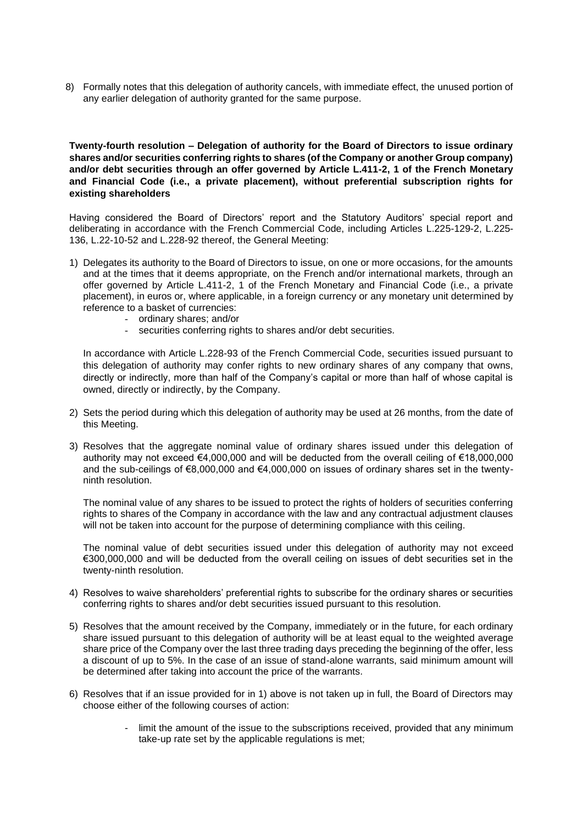8) Formally notes that this delegation of authority cancels, with immediate effect, the unused portion of any earlier delegation of authority granted for the same purpose.

**Twenty-fourth resolution – Delegation of authority for the Board of Directors to issue ordinary shares and/or securities conferring rights to shares (of the Company or another Group company) and/or debt securities through an offer governed by Article L.411-2, 1 of the French Monetary and Financial Code (i.e., a private placement), without preferential subscription rights for existing shareholders** 

Having considered the Board of Directors' report and the Statutory Auditors' special report and deliberating in accordance with the French Commercial Code, including Articles L.225-129-2, L.225- 136, L.22-10-52 and L.228-92 thereof, the General Meeting:

- 1) Delegates its authority to the Board of Directors to issue, on one or more occasions, for the amounts and at the times that it deems appropriate, on the French and/or international markets, through an offer governed by Article L.411-2, 1 of the French Monetary and Financial Code (i.e., a private placement), in euros or, where applicable, in a foreign currency or any monetary unit determined by reference to a basket of currencies:
	- ordinary shares; and/or
	- securities conferring rights to shares and/or debt securities.

In accordance with Article L.228-93 of the French Commercial Code, securities issued pursuant to this delegation of authority may confer rights to new ordinary shares of any company that owns, directly or indirectly, more than half of the Company's capital or more than half of whose capital is owned, directly or indirectly, by the Company.

- 2) Sets the period during which this delegation of authority may be used at 26 months, from the date of this Meeting.
- 3) Resolves that the aggregate nominal value of ordinary shares issued under this delegation of authority may not exceed €4,000,000 and will be deducted from the overall ceiling of €18,000,000 and the sub-ceilings of €8,000,000 and €4,000,000 on issues of ordinary shares set in the twentyninth resolution.

The nominal value of any shares to be issued to protect the rights of holders of securities conferring rights to shares of the Company in accordance with the law and any contractual adjustment clauses will not be taken into account for the purpose of determining compliance with this ceiling.

The nominal value of debt securities issued under this delegation of authority may not exceed €300,000,000 and will be deducted from the overall ceiling on issues of debt securities set in the twenty-ninth resolution.

- 4) Resolves to waive shareholders' preferential rights to subscribe for the ordinary shares or securities conferring rights to shares and/or debt securities issued pursuant to this resolution.
- 5) Resolves that the amount received by the Company, immediately or in the future, for each ordinary share issued pursuant to this delegation of authority will be at least equal to the weighted average share price of the Company over the last three trading days preceding the beginning of the offer, less a discount of up to 5%. In the case of an issue of stand-alone warrants, said minimum amount will be determined after taking into account the price of the warrants.
- 6) Resolves that if an issue provided for in 1) above is not taken up in full, the Board of Directors may choose either of the following courses of action:
	- limit the amount of the issue to the subscriptions received, provided that any minimum take-up rate set by the applicable regulations is met;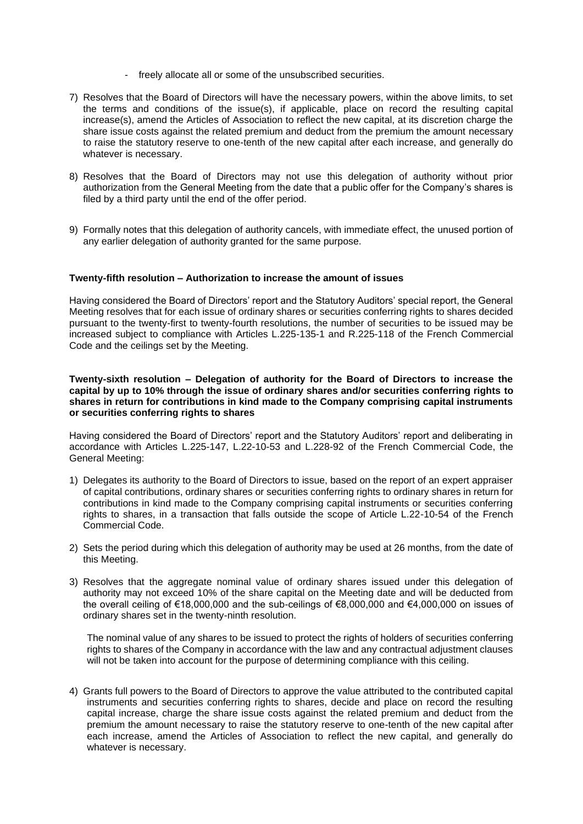- freely allocate all or some of the unsubscribed securities.
- 7) Resolves that the Board of Directors will have the necessary powers, within the above limits, to set the terms and conditions of the issue(s), if applicable, place on record the resulting capital increase(s), amend the Articles of Association to reflect the new capital, at its discretion charge the share issue costs against the related premium and deduct from the premium the amount necessary to raise the statutory reserve to one-tenth of the new capital after each increase, and generally do whatever is necessary.
- 8) Resolves that the Board of Directors may not use this delegation of authority without prior authorization from the General Meeting from the date that a public offer for the Company's shares is filed by a third party until the end of the offer period.
- 9) Formally notes that this delegation of authority cancels, with immediate effect, the unused portion of any earlier delegation of authority granted for the same purpose.

#### **Twenty-fifth resolution – Authorization to increase the amount of issues**

Having considered the Board of Directors' report and the Statutory Auditors' special report, the General Meeting resolves that for each issue of ordinary shares or securities conferring rights to shares decided pursuant to the twenty-first to twenty-fourth resolutions, the number of securities to be issued may be increased subject to compliance with Articles L.225-135-1 and R.225-118 of the French Commercial Code and the ceilings set by the Meeting.

#### **Twenty-sixth resolution – Delegation of authority for the Board of Directors to increase the capital by up to 10% through the issue of ordinary shares and/or securities conferring rights to shares in return for contributions in kind made to the Company comprising capital instruments or securities conferring rights to shares**

Having considered the Board of Directors' report and the Statutory Auditors' report and deliberating in accordance with Articles L.225-147, L.22-10-53 and L.228-92 of the French Commercial Code, the General Meeting:

- 1) Delegates its authority to the Board of Directors to issue, based on the report of an expert appraiser of capital contributions, ordinary shares or securities conferring rights to ordinary shares in return for contributions in kind made to the Company comprising capital instruments or securities conferring rights to shares, in a transaction that falls outside the scope of Article L.22-10-54 of the French Commercial Code.
- 2) Sets the period during which this delegation of authority may be used at 26 months, from the date of this Meeting.
- 3) Resolves that the aggregate nominal value of ordinary shares issued under this delegation of authority may not exceed 10% of the share capital on the Meeting date and will be deducted from the overall ceiling of €18,000,000 and the sub-ceilings of €8,000,000 and €4,000,000 on issues of ordinary shares set in the twenty-ninth resolution.

The nominal value of any shares to be issued to protect the rights of holders of securities conferring rights to shares of the Company in accordance with the law and any contractual adjustment clauses will not be taken into account for the purpose of determining compliance with this ceiling.

4) Grants full powers to the Board of Directors to approve the value attributed to the contributed capital instruments and securities conferring rights to shares, decide and place on record the resulting capital increase, charge the share issue costs against the related premium and deduct from the premium the amount necessary to raise the statutory reserve to one-tenth of the new capital after each increase, amend the Articles of Association to reflect the new capital, and generally do whatever is necessary.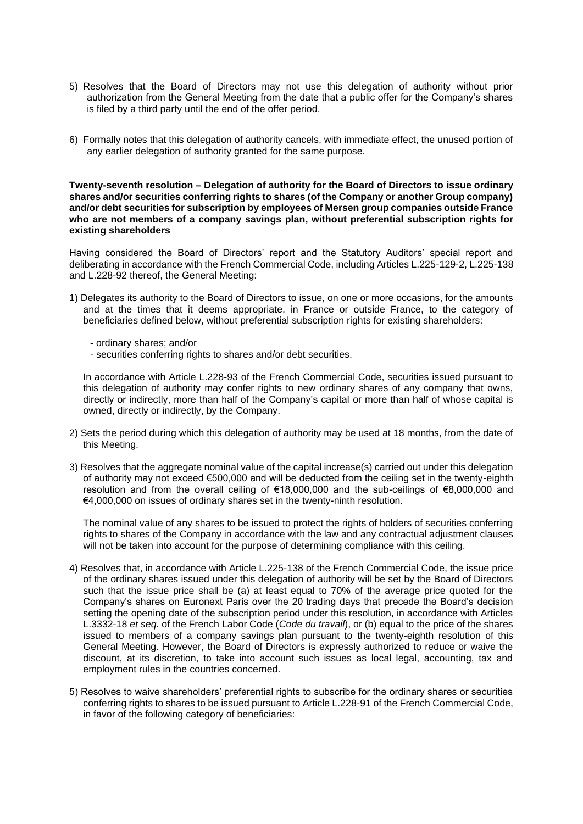- 5) Resolves that the Board of Directors may not use this delegation of authority without prior authorization from the General Meeting from the date that a public offer for the Company's shares is filed by a third party until the end of the offer period.
- 6) Formally notes that this delegation of authority cancels, with immediate effect, the unused portion of any earlier delegation of authority granted for the same purpose.

#### **Twenty-seventh resolution – Delegation of authority for the Board of Directors to issue ordinary shares and/or securities conferring rights to shares (of the Company or another Group company) and/or debt securities for subscription by employees of Mersen group companies outside France who are not members of a company savings plan, without preferential subscription rights for existing shareholders**

Having considered the Board of Directors' report and the Statutory Auditors' special report and deliberating in accordance with the French Commercial Code, including Articles L.225-129-2, L.225-138 and L.228-92 thereof, the General Meeting:

- 1) Delegates its authority to the Board of Directors to issue, on one or more occasions, for the amounts and at the times that it deems appropriate, in France or outside France, to the category of beneficiaries defined below, without preferential subscription rights for existing shareholders:
	- ordinary shares; and/or
	- securities conferring rights to shares and/or debt securities.

In accordance with Article L.228-93 of the French Commercial Code, securities issued pursuant to this delegation of authority may confer rights to new ordinary shares of any company that owns, directly or indirectly, more than half of the Company's capital or more than half of whose capital is owned, directly or indirectly, by the Company.

- 2) Sets the period during which this delegation of authority may be used at 18 months, from the date of this Meeting.
- 3) Resolves that the aggregate nominal value of the capital increase(s) carried out under this delegation of authority may not exceed €500,000 and will be deducted from the ceiling set in the twenty-eighth resolution and from the overall ceiling of €18,000,000 and the sub-ceilings of €8,000,000 and €4,000,000 on issues of ordinary shares set in the twenty-ninth resolution.

The nominal value of any shares to be issued to protect the rights of holders of securities conferring rights to shares of the Company in accordance with the law and any contractual adjustment clauses will not be taken into account for the purpose of determining compliance with this ceiling.

- 4) Resolves that, in accordance with Article L.225-138 of the French Commercial Code, the issue price of the ordinary shares issued under this delegation of authority will be set by the Board of Directors such that the issue price shall be (a) at least equal to 70% of the average price quoted for the Company's shares on Euronext Paris over the 20 trading days that precede the Board's decision setting the opening date of the subscription period under this resolution, in accordance with Articles L.3332-18 *et seq.* of the French Labor Code (*Code du travail*), or (b) equal to the price of the shares issued to members of a company savings plan pursuant to the twenty-eighth resolution of this General Meeting. However, the Board of Directors is expressly authorized to reduce or waive the discount, at its discretion, to take into account such issues as local legal, accounting, tax and employment rules in the countries concerned.
- 5) Resolves to waive shareholders' preferential rights to subscribe for the ordinary shares or securities conferring rights to shares to be issued pursuant to Article L.228-91 of the French Commercial Code, in favor of the following category of beneficiaries: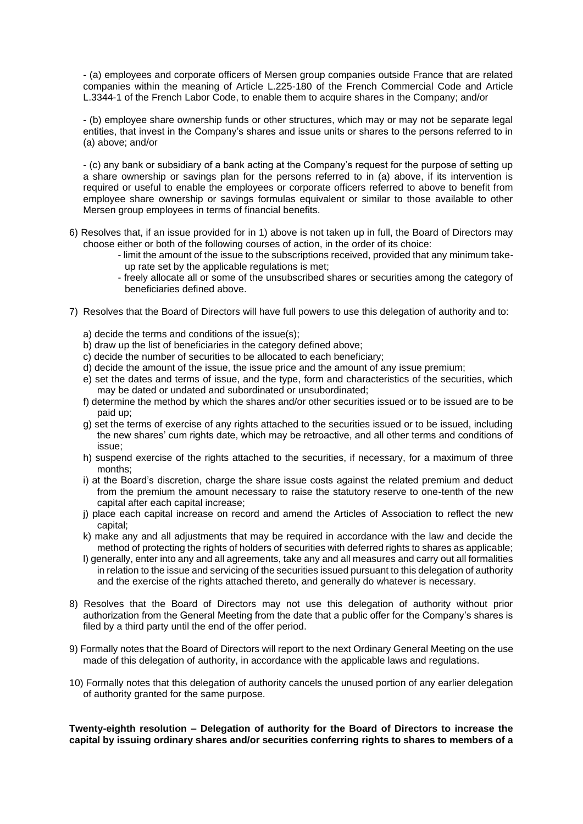- (a) employees and corporate officers of Mersen group companies outside France that are related companies within the meaning of Article L.225-180 of the French Commercial Code and Article L.3344-1 of the French Labor Code, to enable them to acquire shares in the Company; and/or

- (b) employee share ownership funds or other structures, which may or may not be separate legal entities, that invest in the Company's shares and issue units or shares to the persons referred to in (a) above; and/or

- (c) any bank or subsidiary of a bank acting at the Company's request for the purpose of setting up a share ownership or savings plan for the persons referred to in (a) above, if its intervention is required or useful to enable the employees or corporate officers referred to above to benefit from employee share ownership or savings formulas equivalent or similar to those available to other Mersen group employees in terms of financial benefits.

- 6) Resolves that, if an issue provided for in 1) above is not taken up in full, the Board of Directors may choose either or both of the following courses of action, in the order of its choice:
	- limit the amount of the issue to the subscriptions received, provided that any minimum takeup rate set by the applicable regulations is met;
	- freely allocate all or some of the unsubscribed shares or securities among the category of beneficiaries defined above.
- 7) Resolves that the Board of Directors will have full powers to use this delegation of authority and to:
	- a) decide the terms and conditions of the issue(s);
	- b) draw up the list of beneficiaries in the category defined above;
	- c) decide the number of securities to be allocated to each beneficiary;
	- d) decide the amount of the issue, the issue price and the amount of any issue premium;
	- e) set the dates and terms of issue, and the type, form and characteristics of the securities, which may be dated or undated and subordinated or unsubordinated;
	- f) determine the method by which the shares and/or other securities issued or to be issued are to be paid up;
	- g) set the terms of exercise of any rights attached to the securities issued or to be issued, including the new shares' cum rights date, which may be retroactive, and all other terms and conditions of issue;
	- h) suspend exercise of the rights attached to the securities, if necessary, for a maximum of three months;
	- i) at the Board's discretion, charge the share issue costs against the related premium and deduct from the premium the amount necessary to raise the statutory reserve to one-tenth of the new capital after each capital increase;
	- j) place each capital increase on record and amend the Articles of Association to reflect the new capital;
	- k) make any and all adjustments that may be required in accordance with the law and decide the method of protecting the rights of holders of securities with deferred rights to shares as applicable;
	- l) generally, enter into any and all agreements, take any and all measures and carry out all formalities in relation to the issue and servicing of the securities issued pursuant to this delegation of authority and the exercise of the rights attached thereto, and generally do whatever is necessary.
- 8) Resolves that the Board of Directors may not use this delegation of authority without prior authorization from the General Meeting from the date that a public offer for the Company's shares is filed by a third party until the end of the offer period.
- 9) Formally notes that the Board of Directors will report to the next Ordinary General Meeting on the use made of this delegation of authority, in accordance with the applicable laws and regulations.
- 10) Formally notes that this delegation of authority cancels the unused portion of any earlier delegation of authority granted for the same purpose.

**Twenty-eighth resolution – Delegation of authority for the Board of Directors to increase the capital by issuing ordinary shares and/or securities conferring rights to shares to members of a**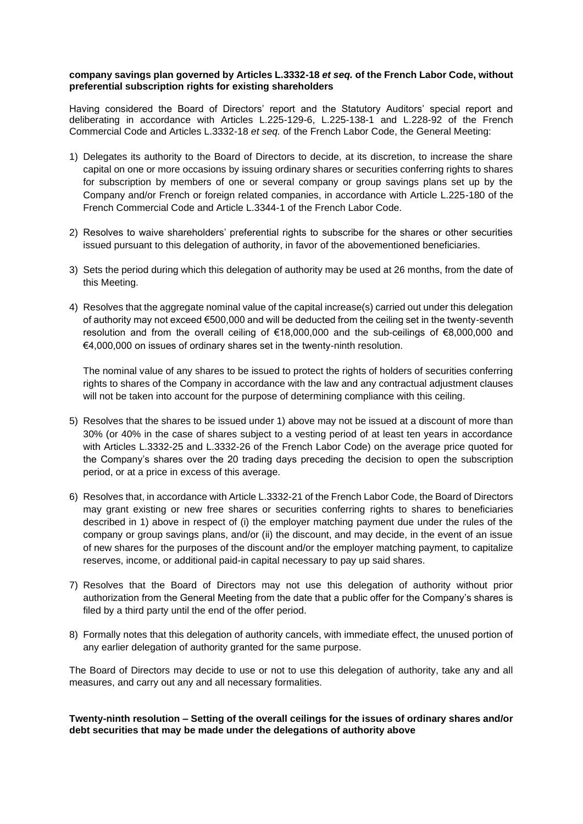#### **company savings plan governed by Articles L.3332-18** *et seq.* **of the French Labor Code, without preferential subscription rights for existing shareholders**

Having considered the Board of Directors' report and the Statutory Auditors' special report and deliberating in accordance with Articles L.225-129-6, L.225-138-1 and L.228-92 of the French Commercial Code and Articles L.3332-18 *et seq.* of the French Labor Code, the General Meeting:

- 1) Delegates its authority to the Board of Directors to decide, at its discretion, to increase the share capital on one or more occasions by issuing ordinary shares or securities conferring rights to shares for subscription by members of one or several company or group savings plans set up by the Company and/or French or foreign related companies, in accordance with Article L.225-180 of the French Commercial Code and Article L.3344-1 of the French Labor Code.
- 2) Resolves to waive shareholders' preferential rights to subscribe for the shares or other securities issued pursuant to this delegation of authority, in favor of the abovementioned beneficiaries.
- 3) Sets the period during which this delegation of authority may be used at 26 months, from the date of this Meeting.
- 4) Resolves that the aggregate nominal value of the capital increase(s) carried out under this delegation of authority may not exceed €500,000 and will be deducted from the ceiling set in the twenty-seventh resolution and from the overall ceiling of €18,000,000 and the sub-ceilings of €8,000,000 and €4,000,000 on issues of ordinary shares set in the twenty-ninth resolution.

The nominal value of any shares to be issued to protect the rights of holders of securities conferring rights to shares of the Company in accordance with the law and any contractual adjustment clauses will not be taken into account for the purpose of determining compliance with this ceiling.

- 5) Resolves that the shares to be issued under 1) above may not be issued at a discount of more than 30% (or 40% in the case of shares subject to a vesting period of at least ten years in accordance with Articles L.3332-25 and L.3332-26 of the French Labor Code) on the average price quoted for the Company's shares over the 20 trading days preceding the decision to open the subscription period, or at a price in excess of this average.
- 6) Resolves that, in accordance with Article L.3332-21 of the French Labor Code, the Board of Directors may grant existing or new free shares or securities conferring rights to shares to beneficiaries described in 1) above in respect of (i) the employer matching payment due under the rules of the company or group savings plans, and/or (ii) the discount, and may decide, in the event of an issue of new shares for the purposes of the discount and/or the employer matching payment, to capitalize reserves, income, or additional paid-in capital necessary to pay up said shares.
- 7) Resolves that the Board of Directors may not use this delegation of authority without prior authorization from the General Meeting from the date that a public offer for the Company's shares is filed by a third party until the end of the offer period.
- 8) Formally notes that this delegation of authority cancels, with immediate effect, the unused portion of any earlier delegation of authority granted for the same purpose.

The Board of Directors may decide to use or not to use this delegation of authority, take any and all measures, and carry out any and all necessary formalities.

**Twenty-ninth resolution – Setting of the overall ceilings for the issues of ordinary shares and/or debt securities that may be made under the delegations of authority above**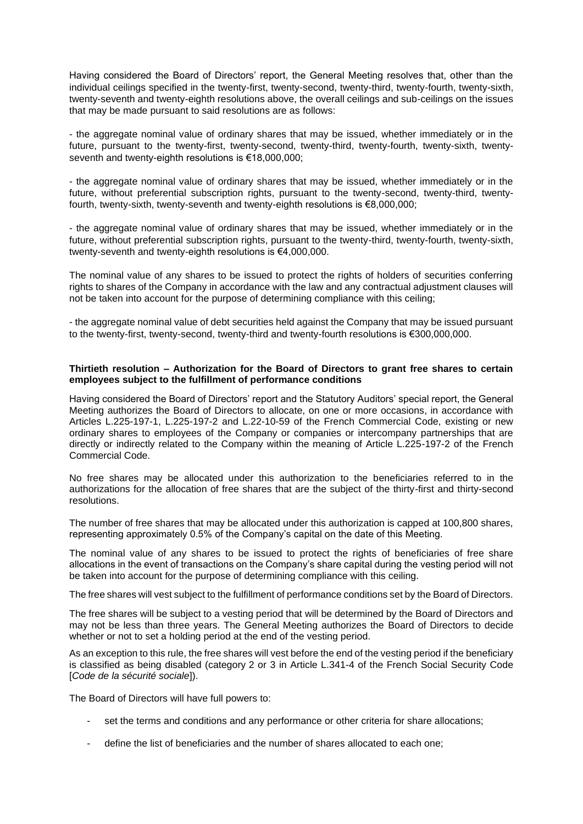Having considered the Board of Directors' report, the General Meeting resolves that, other than the individual ceilings specified in the twenty-first, twenty-second, twenty-third, twenty-fourth, twenty-sixth, twenty-seventh and twenty-eighth resolutions above, the overall ceilings and sub-ceilings on the issues that may be made pursuant to said resolutions are as follows:

- the aggregate nominal value of ordinary shares that may be issued, whether immediately or in the future, pursuant to the twenty-first, twenty-second, twenty-third, twenty-fourth, twenty-sixth, twentyseventh and twenty-eighth resolutions is €18,000,000;

- the aggregate nominal value of ordinary shares that may be issued, whether immediately or in the future, without preferential subscription rights, pursuant to the twenty-second, twenty-third, twentyfourth, twenty-sixth, twenty-seventh and twenty-eighth resolutions is €8,000,000;

- the aggregate nominal value of ordinary shares that may be issued, whether immediately or in the future, without preferential subscription rights, pursuant to the twenty-third, twenty-fourth, twenty-sixth, twenty-seventh and twenty-eighth resolutions is €4,000,000.

The nominal value of any shares to be issued to protect the rights of holders of securities conferring rights to shares of the Company in accordance with the law and any contractual adjustment clauses will not be taken into account for the purpose of determining compliance with this ceiling;

- the aggregate nominal value of debt securities held against the Company that may be issued pursuant to the twenty-first, twenty-second, twenty-third and twenty-fourth resolutions is €300,000,000.

## **Thirtieth resolution – Authorization for the Board of Directors to grant free shares to certain employees subject to the fulfillment of performance conditions**

Having considered the Board of Directors' report and the Statutory Auditors' special report, the General Meeting authorizes the Board of Directors to allocate, on one or more occasions, in accordance with Articles L.225-197-1, L.225-197-2 and L.22-10-59 of the French Commercial Code, existing or new ordinary shares to employees of the Company or companies or intercompany partnerships that are directly or indirectly related to the Company within the meaning of Article L.225-197-2 of the French Commercial Code.

No free shares may be allocated under this authorization to the beneficiaries referred to in the authorizations for the allocation of free shares that are the subject of the thirty-first and thirty-second resolutions.

The number of free shares that may be allocated under this authorization is capped at 100,800 shares, representing approximately 0.5% of the Company's capital on the date of this Meeting.

The nominal value of any shares to be issued to protect the rights of beneficiaries of free share allocations in the event of transactions on the Company's share capital during the vesting period will not be taken into account for the purpose of determining compliance with this ceiling.

The free shares will vest subject to the fulfillment of performance conditions set by the Board of Directors.

The free shares will be subject to a vesting period that will be determined by the Board of Directors and may not be less than three years. The General Meeting authorizes the Board of Directors to decide whether or not to set a holding period at the end of the vesting period.

As an exception to this rule, the free shares will vest before the end of the vesting period if the beneficiary is classified as being disabled (category 2 or 3 in Article L.341-4 of the French Social Security Code [*Code de la sécurité sociale*]).

The Board of Directors will have full powers to:

- set the terms and conditions and any performance or other criteria for share allocations;
- define the list of beneficiaries and the number of shares allocated to each one;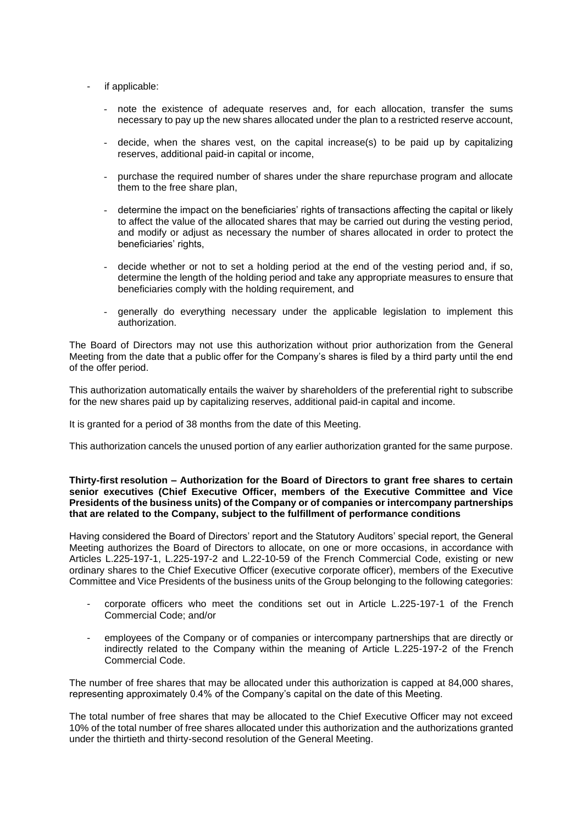- if applicable:
	- note the existence of adequate reserves and, for each allocation, transfer the sums necessary to pay up the new shares allocated under the plan to a restricted reserve account,
	- decide, when the shares vest, on the capital increase(s) to be paid up by capitalizing reserves, additional paid-in capital or income,
	- purchase the required number of shares under the share repurchase program and allocate them to the free share plan,
	- determine the impact on the beneficiaries' rights of transactions affecting the capital or likely to affect the value of the allocated shares that may be carried out during the vesting period, and modify or adjust as necessary the number of shares allocated in order to protect the beneficiaries' rights,
	- decide whether or not to set a holding period at the end of the vesting period and, if so, determine the length of the holding period and take any appropriate measures to ensure that beneficiaries comply with the holding requirement, and
	- generally do everything necessary under the applicable legislation to implement this authorization.

The Board of Directors may not use this authorization without prior authorization from the General Meeting from the date that a public offer for the Company's shares is filed by a third party until the end of the offer period.

This authorization automatically entails the waiver by shareholders of the preferential right to subscribe for the new shares paid up by capitalizing reserves, additional paid-in capital and income.

It is granted for a period of 38 months from the date of this Meeting.

This authorization cancels the unused portion of any earlier authorization granted for the same purpose.

#### **Thirty-first resolution – Authorization for the Board of Directors to grant free shares to certain senior executives (Chief Executive Officer, members of the Executive Committee and Vice Presidents of the business units) of the Company or of companies or intercompany partnerships that are related to the Company, subject to the fulfillment of performance conditions**

Having considered the Board of Directors' report and the Statutory Auditors' special report, the General Meeting authorizes the Board of Directors to allocate, on one or more occasions, in accordance with Articles L.225-197-1, L.225-197-2 and L.22-10-59 of the French Commercial Code, existing or new ordinary shares to the Chief Executive Officer (executive corporate officer), members of the Executive Committee and Vice Presidents of the business units of the Group belonging to the following categories:

- corporate officers who meet the conditions set out in Article L.225-197-1 of the French Commercial Code; and/or
- employees of the Company or of companies or intercompany partnerships that are directly or indirectly related to the Company within the meaning of Article L.225-197-2 of the French Commercial Code.

The number of free shares that may be allocated under this authorization is capped at 84,000 shares, representing approximately 0.4% of the Company's capital on the date of this Meeting.

The total number of free shares that may be allocated to the Chief Executive Officer may not exceed 10% of the total number of free shares allocated under this authorization and the authorizations granted under the thirtieth and thirty-second resolution of the General Meeting.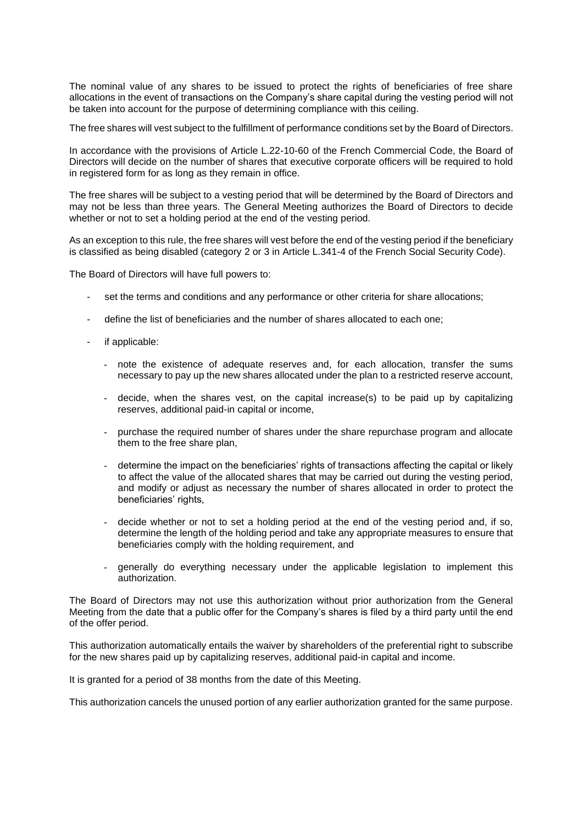The nominal value of any shares to be issued to protect the rights of beneficiaries of free share allocations in the event of transactions on the Company's share capital during the vesting period will not be taken into account for the purpose of determining compliance with this ceiling.

The free shares will vest subject to the fulfillment of performance conditions set by the Board of Directors.

In accordance with the provisions of Article L.22-10-60 of the French Commercial Code, the Board of Directors will decide on the number of shares that executive corporate officers will be required to hold in registered form for as long as they remain in office.

The free shares will be subject to a vesting period that will be determined by the Board of Directors and may not be less than three years. The General Meeting authorizes the Board of Directors to decide whether or not to set a holding period at the end of the vesting period.

As an exception to this rule, the free shares will vest before the end of the vesting period if the beneficiary is classified as being disabled (category 2 or 3 in Article L.341-4 of the French Social Security Code).

The Board of Directors will have full powers to:

- set the terms and conditions and any performance or other criteria for share allocations;
- define the list of beneficiaries and the number of shares allocated to each one;
- if applicable:
	- note the existence of adequate reserves and, for each allocation, transfer the sums necessary to pay up the new shares allocated under the plan to a restricted reserve account,
	- decide, when the shares vest, on the capital increase(s) to be paid up by capitalizing reserves, additional paid-in capital or income,
	- purchase the required number of shares under the share repurchase program and allocate them to the free share plan,
	- determine the impact on the beneficiaries' rights of transactions affecting the capital or likely to affect the value of the allocated shares that may be carried out during the vesting period, and modify or adjust as necessary the number of shares allocated in order to protect the beneficiaries' rights,
	- decide whether or not to set a holding period at the end of the vesting period and, if so, determine the length of the holding period and take any appropriate measures to ensure that beneficiaries comply with the holding requirement, and
	- generally do everything necessary under the applicable legislation to implement this authorization.

The Board of Directors may not use this authorization without prior authorization from the General Meeting from the date that a public offer for the Company's shares is filed by a third party until the end of the offer period.

This authorization automatically entails the waiver by shareholders of the preferential right to subscribe for the new shares paid up by capitalizing reserves, additional paid-in capital and income.

It is granted for a period of 38 months from the date of this Meeting.

This authorization cancels the unused portion of any earlier authorization granted for the same purpose.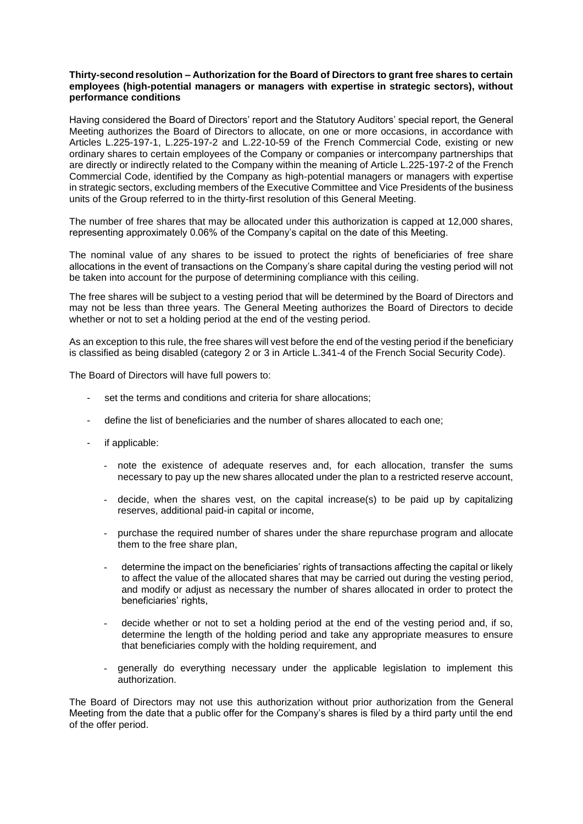#### **Thirty-second resolution – Authorization for the Board of Directors to grant free shares to certain employees (high-potential managers or managers with expertise in strategic sectors), without performance conditions**

Having considered the Board of Directors' report and the Statutory Auditors' special report, the General Meeting authorizes the Board of Directors to allocate, on one or more occasions, in accordance with Articles L.225-197-1, L.225-197-2 and L.22-10-59 of the French Commercial Code, existing or new ordinary shares to certain employees of the Company or companies or intercompany partnerships that are directly or indirectly related to the Company within the meaning of Article L.225-197-2 of the French Commercial Code, identified by the Company as high-potential managers or managers with expertise in strategic sectors, excluding members of the Executive Committee and Vice Presidents of the business units of the Group referred to in the thirty-first resolution of this General Meeting.

The number of free shares that may be allocated under this authorization is capped at 12,000 shares, representing approximately 0.06% of the Company's capital on the date of this Meeting.

The nominal value of any shares to be issued to protect the rights of beneficiaries of free share allocations in the event of transactions on the Company's share capital during the vesting period will not be taken into account for the purpose of determining compliance with this ceiling.

The free shares will be subject to a vesting period that will be determined by the Board of Directors and may not be less than three years. The General Meeting authorizes the Board of Directors to decide whether or not to set a holding period at the end of the vesting period.

As an exception to this rule, the free shares will vest before the end of the vesting period if the beneficiary is classified as being disabled (category 2 or 3 in Article L.341-4 of the French Social Security Code).

The Board of Directors will have full powers to:

- set the terms and conditions and criteria for share allocations;
- define the list of beneficiaries and the number of shares allocated to each one;
- if applicable:
	- note the existence of adequate reserves and, for each allocation, transfer the sums necessary to pay up the new shares allocated under the plan to a restricted reserve account,
	- decide, when the shares vest, on the capital increase(s) to be paid up by capitalizing reserves, additional paid-in capital or income,
	- purchase the required number of shares under the share repurchase program and allocate them to the free share plan,
	- determine the impact on the beneficiaries' rights of transactions affecting the capital or likely to affect the value of the allocated shares that may be carried out during the vesting period, and modify or adjust as necessary the number of shares allocated in order to protect the beneficiaries' rights,
	- decide whether or not to set a holding period at the end of the vesting period and, if so, determine the length of the holding period and take any appropriate measures to ensure that beneficiaries comply with the holding requirement, and
	- generally do everything necessary under the applicable legislation to implement this authorization.

The Board of Directors may not use this authorization without prior authorization from the General Meeting from the date that a public offer for the Company's shares is filed by a third party until the end of the offer period.